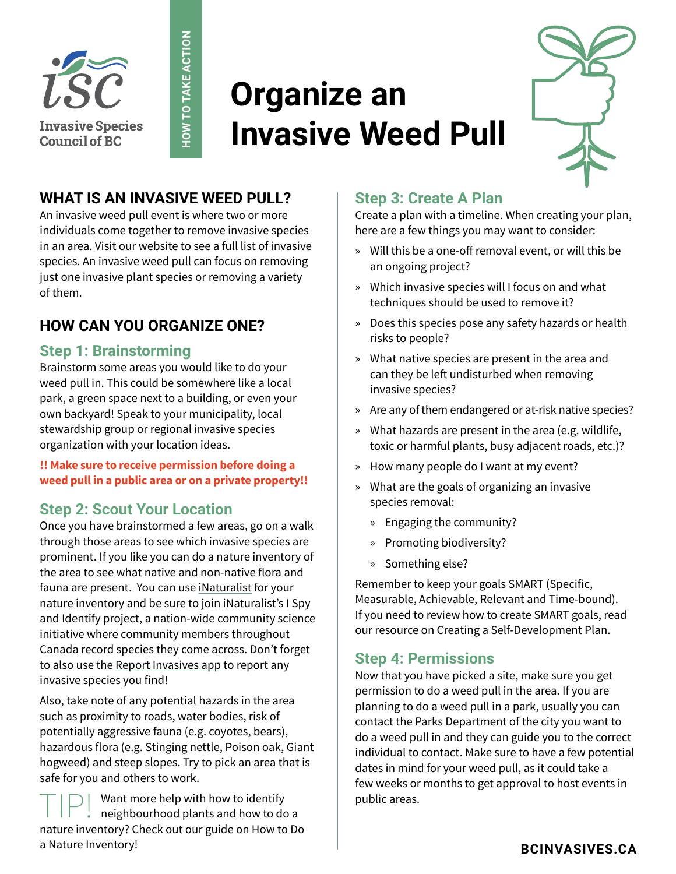

# **Organize an Invasive Weed Pull**



## **WHAT IS AN INVASIVE WEED PULL?**

An invasive weed pull event is where two or more individuals come together to remove invasive species in an area. Visit our website to see a full list of invasive species. An invasive weed pull can focus on removing just one invasive plant species or removing a variety of them.

**HOW TO TAKE ACTION**

HOW TO TAKE ACTION

## **HOW CAN YOU ORGANIZE ONE?**

#### **Step 1: Brainstorming**

Brainstorm some areas you would like to do your weed pull in. This could be somewhere like a local park, a green space next to a building, or even your own backyard! Speak to your municipality, local stewardship group or regional invasive species organization with your location ideas.

#### **!! Make sure to receive permission before doing a weed pull in a public area or on a private property!!**

### **Step 2: Scout Your Location**

Once you have brainstormed a few areas, go on a walk through those areas to see which invasive species are prominent. If you like you can do a nature inventory of the area to see what native and non-native flora and fauna are present. You can use [iNaturalist](https://inaturalist.ca/) for your nature inventory and be sure to join iNaturalist's I Spy and Identify project, a nation-wide community science initiative where community members throughout Canada record species they come across. Don't forget to also use the [Report Invasives app](https://bcinvasives.ca/take-action/report/) to report any invasive species you find!

Also, take note of any potential hazards in the area such as proximity to roads, water bodies, risk of potentially aggressive fauna (e.g. coyotes, bears), hazardous flora (e.g. Stinging nettle, Poison oak, Giant hogweed) and steep slopes. Try to pick an area that is safe for you and others to work.

 $T$   $\Box$   $\Box$  Want more help with how to identify<br>
neighbourhood plants and how to do a nature inventory? Check out our guide on How to Do a Nature Inventory!

### **Step 3: Create A Plan**

Create a plan with a timeline. When creating your plan, here are a few things you may want to consider:

- » Will this be a one-off removal event, or will this be an ongoing project?
- » Which invasive species will I focus on and what techniques should be used to remove it?
- » Does this species pose any safety hazards or health risks to people?
- » What native species are present in the area and can they be left undisturbed when removing invasive species?
- » Are any of them endangered or at-risk native species?
- » What hazards are present in the area (e.g. wildlife, toxic or harmful plants, busy adjacent roads, etc.)?
- » How many people do I want at my event?
- » What are the goals of organizing an invasive species removal:
	- » Engaging the community?
	- » Promoting biodiversity?
	- » Something else?

Remember to keep your goals SMART (Specific, Measurable, Achievable, Relevant and Time-bound). If you need to review how to create SMART goals, read our resource on Creating a Self-Development Plan.

#### **Step 4: Permissions**

Now that you have picked a site, make sure you get permission to do a weed pull in the area. If you are planning to do a weed pull in a park, usually you can contact the Parks Department of the city you want to do a weed pull in and they can guide you to the correct individual to contact. Make sure to have a few potential dates in mind for your weed pull, as it could take a few weeks or months to get approval to host events in public areas.